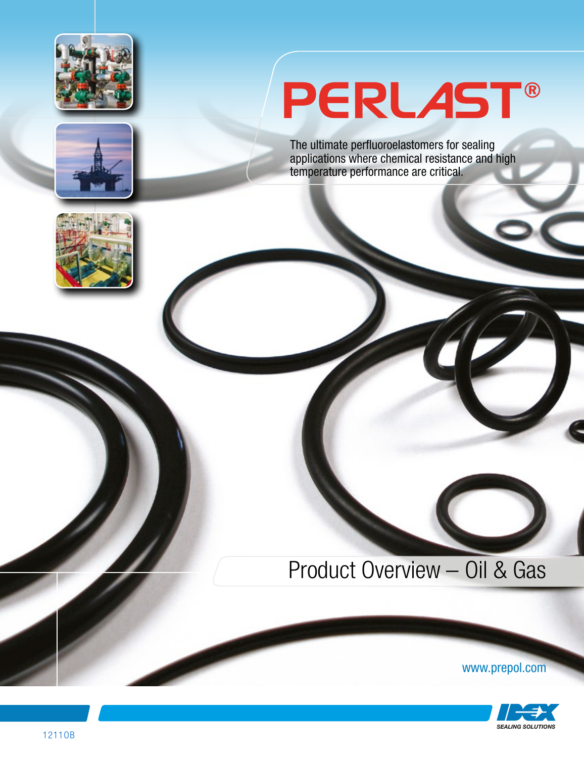



# PERLAST®

The ultimate perfluoroelastomers for sealing applications where chemical resistance and high temperature performance are critical.



# Product Overview – Oil & Gas

www.prepol.com

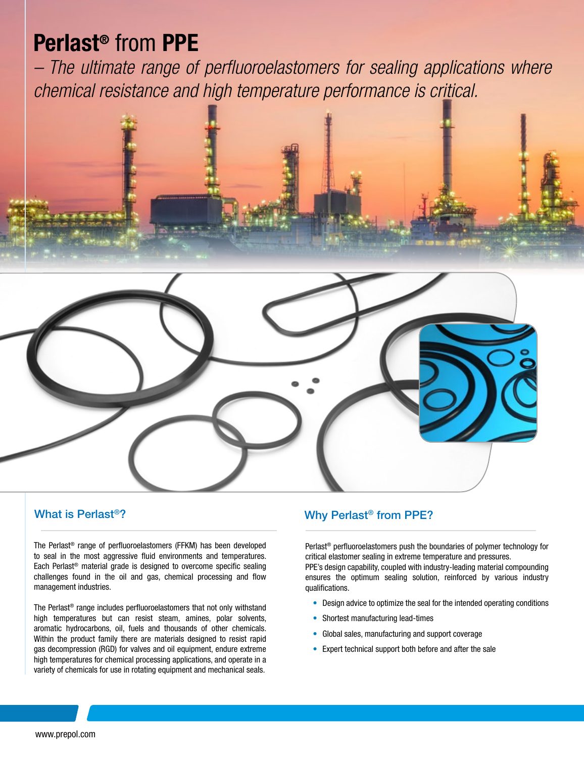# Perlast® from PPE

*– The ultimate range of perfluoroelastomers for sealing applications where chemical resistance and high temperature performance is critical.*





### What is Perlast®?

The Perlast® range of perfluoroelastomers (FFKM) has been developed to seal in the most aggressive fluid environments and temperatures. Each Perlast® material grade is designed to overcome specific sealing challenges found in the oil and gas, chemical processing and flow management industries.

The Perlast® range includes perfluoroelastomers that not only withstand high temperatures but can resist steam, amines, polar solvents, aromatic hydrocarbons, oil, fuels and thousands of other chemicals. Within the product family there are materials designed to resist rapid gas decompression (RGD) for valves and oil equipment, endure extreme high temperatures for chemical processing applications, and operate in a variety of chemicals for use in rotating equipment and mechanical seals.

# Why Perlast® from PPE?

Perlast® perfluoroelastomers push the boundaries of polymer technology for critical elastomer sealing in extreme temperature and pressures. PPE's design capability, coupled with industry-leading material compounding ensures the optimum sealing solution, reinforced by various industry qualifications.

- Design advice to optimize the seal for the intended operating conditions
- Shortest manufacturing lead-times
- Global sales, manufacturing and support coverage
- Expert technical support both before and after the sale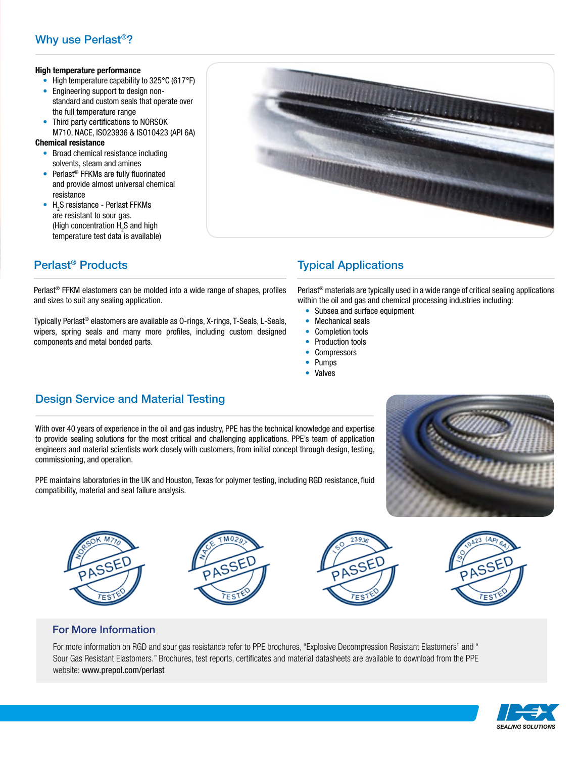## Why use Perlast®?

#### High temperature performance

- High temperature capability to 325°C (617°F)
- Engineering support to design non standard and custom seals that operate over the full temperature range
- Third party certifications to NORSOK M710, NACE, ISO23936 & ISO10423 (API 6A)

#### Chemical resistance

- Broad chemical resistance including solvents, steam and amines
- Perlast<sup>®</sup> FFKMs are fully fluorinated and provide almost universal chemical resistance
- $H_2S$  resistance Perlast FFKMs are resistant to sour gas. (High concentration  $H_2S$  and high temperature test data is available)



## Perlast® Products

Perlast® FFKM elastomers can be molded into a wide range of shapes, profiles and sizes to suit any sealing application.

Typically Perlast® elastomers are available as O-rings, X-rings, T-Seals, L-Seals, wipers, spring seals and many more profiles, including custom designed components and metal bonded parts.

## Typical Applications

Perlast® materials are typically used in a wide range of critical sealing applications within the oil and gas and chemical processing industries including:

- Subsea and surface equipment
- Mechanical seals
- Completion tools
- Production tools
- Compressors
- Pumps
- Valves

## Design Service and Material Testing

With over 40 years of experience in the oil and gas industry, PPE has the technical knowledge and expertise to provide sealing solutions for the most critical and challenging applications. PPE's team of application engineers and material scientists work closely with customers, from initial concept through design, testing, commissioning, and operation.



PPE maintains laboratories in the UK and Houston, Texas for polymer testing, including RGD resistance, fluid compatibility, material and seal failure analysis.









### For More Information

For more information on RGD and sour gas resistance refer to PPE brochures, "Explosive Decompression Resistant Elastomers" and " Sour Gas Resistant Elastomers." Brochures, test reports, certificates and material datasheets are available to download from the PPE website: www.prepol.com/perlast